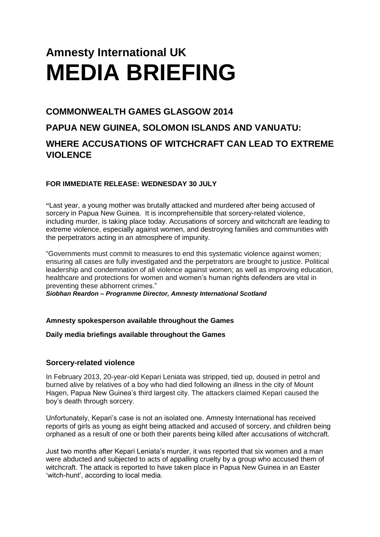# **Amnesty International UK MEDIA BRIEFING**

## **COMMONWEALTH GAMES GLASGOW 2014**

## **PAPUA NEW GUINEA, SOLOMON ISLANDS AND VANUATU:**

## **WHERE ACCUSATIONS OF WITCHCRAFT CAN LEAD TO EXTREME VIOLENCE**

### **FOR IMMEDIATE RELEASE: WEDNESDAY 30 JULY**

**"**Last year, a young mother was brutally attacked and murdered after being accused of sorcery in Papua New Guinea. It is incomprehensible that sorcery-related violence, including murder, is taking place today. Accusations of sorcery and witchcraft are leading to extreme violence, especially against women, and destroying families and communities with the perpetrators acting in an atmosphere of impunity.

"Governments must commit to measures to end this systematic violence against women; ensuring all cases are fully investigated and the perpetrators are brought to justice. Political leadership and condemnation of all violence against women; as well as improving education, healthcare and protections for women and women's human rights defenders are vital in preventing these abhorrent crimes."

*Siobhan Reardon – Programme Director, Amnesty International Scotland*

#### **Amnesty spokesperson available throughout the Games**

**Daily media briefings available throughout the Games**

#### **Sorcery-related violence**

In February 2013, 20-year-old Kepari Leniata was stripped, tied up, doused in petrol and burned alive by relatives of a boy who had died following an illness in the city of Mount Hagen, Papua New Guinea's third largest city. The attackers claimed Kepari caused the boy's death through sorcery.

Unfortunately, Kepari's case is not an isolated one. Amnesty International has received reports of girls as young as eight being attacked and accused of sorcery, and children being orphaned as a result of one or both their parents being killed after accusations of witchcraft.

Just two months after Kepari Leniata's murder, it was reported that six women and a man were abducted and subjected to acts of appalling cruelty by a group who accused them of witchcraft. The attack is reported to have taken place in Papua New Guinea in an Easter 'witch-hunt', according to local media.